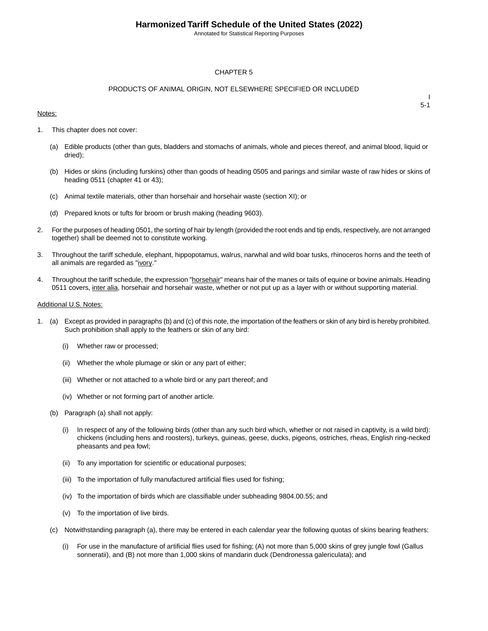Annotated for Statistical Reporting Purposes

### CHAPTER 5

### PRODUCTS OF ANIMAL ORIGIN, NOT ELSEWHERE SPECIFIED OR INCLUDED

#### Notes:

I 5-1

- 1. This chapter does not cover:
	- (a) Edible products (other than guts, bladders and stomachs of animals, whole and pieces thereof, and animal blood, liquid or dried);
	- (b) Hides or skins (including furskins) other than goods of heading 0505 and parings and similar waste of raw hides or skins of heading 0511 (chapter 41 or 43);
	- (c) Animal textile materials, other than horsehair and horsehair waste (section XI); or
	- (d) Prepared knots or tufts for broom or brush making (heading 9603).
- 2. For the purposes of heading 0501, the sorting of hair by length (provided the root ends and tip ends, respectively, are not arranged together) shall be deemed not to constitute working.
- 3. Throughout the tariff schedule, elephant, hippopotamus, walrus, narwhal and wild boar tusks, rhinoceros horns and the teeth of all animals are regarded as "ivory."
- 4. Throughout the tariff schedule, the expression "horsehair" means hair of the manes or tails of equine or bovine animals. Heading 0511 covers, inter alia, horsehair and horsehair waste, whether or not put up as a layer with or without supporting material.

#### Additional U.S. Notes:

- 1. (a) Except as provided in paragraphs (b) and (c) of this note, the importation of the feathers or skin of any bird is hereby prohibited. Such prohibition shall apply to the feathers or skin of any bird:
	- (i) Whether raw or processed;
	- (ii) Whether the whole plumage or skin or any part of either;
	- (iii) Whether or not attached to a whole bird or any part thereof; and
	- (iv) Whether or not forming part of another article.
	- (b) Paragraph (a) shall not apply:
		- (i) In respect of any of the following birds (other than any such bird which, whether or not raised in captivity, is a wild bird): chickens (including hens and roosters), turkeys, guineas, geese, ducks, pigeons, ostriches, rheas, English ring-necked pheasants and pea fowl;
		- (ii) To any importation for scientific or educational purposes;
		- (iii) To the importation of fully manufactured artificial flies used for fishing;
		- (iv) To the importation of birds which are classifiable under subheading 9804.00.55; and
		- (v) To the importation of live birds.
	- (c) Notwithstanding paragraph (a), there may be entered in each calendar year the following quotas of skins bearing feathers:
		- (i) For use in the manufacture of artificial flies used for fishing; (A) not more than 5,000 skins of grey jungle fowl (Gallus sonneratii), and (B) not more than 1,000 skins of mandarin duck (Dendronessa galericulata); and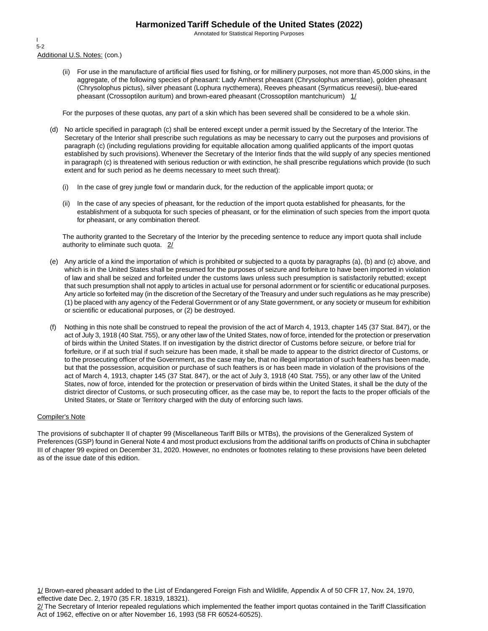Annotated for Statistical Reporting Purposes

Additional U.S. Notes: (con.) I 5-2

> (ii) For use in the manufacture of artificial flies used for fishing, or for millinery purposes, not more than 45,000 skins, in the aggregate, of the following species of pheasant: Lady Amherst pheasant (Chrysolophus amerstiae), golden pheasant (Chrysolophus pictus), silver pheasant (Lophura nycthemera), Reeves pheasant (Syrmaticus reevesii), blue-eared pheasant (Crossoptilon auritum) and brown-eared pheasant (Crossoptilon mantchuricum)  $1/$

For the purposes of these quotas, any part of a skin which has been severed shall be considered to be a whole skin.

- (d) No article specified in paragraph (c) shall be entered except under a permit issued by the Secretary of the Interior. The Secretary of the Interior shall prescribe such regulations as may be necessary to carry out the purposes and provisions of paragraph (c) (including regulations providing for equitable allocation among qualified applicants of the import quotas established by such provisions). Whenever the Secretary of the Interior finds that the wild supply of any species mentioned in paragraph (c) is threatened with serious reduction or with extinction, he shall prescribe regulations which provide (to such extent and for such period as he deems necessary to meet such threat):
	- (i) In the case of grey jungle fowl or mandarin duck, for the reduction of the applicable import quota; or
	- (ii) In the case of any species of pheasant, for the reduction of the import quota established for pheasants, for the establishment of a subquota for such species of pheasant, or for the elimination of such species from the import quota for pheasant, or any combination thereof.

The authority granted to the Secretary of the Interior by the preceding sentence to reduce any import quota shall include authority to eliminate such quota. 2/

- (e) Any article of a kind the importation of which is prohibited or subjected to a quota by paragraphs (a), (b) and (c) above, and which is in the United States shall be presumed for the purposes of seizure and forfeiture to have been imported in violation of law and shall be seized and forfeited under the customs laws unless such presumption is satisfactorily rebutted; except that such presumption shall not apply to articles in actual use for personal adornment or for scientific or educational purposes. Any article so forfeited may (in the discretion of the Secretary of the Treasury and under such regulations as he may prescribe) (1) be placed with any agency of the Federal Government or of any State government, or any society or museum for exhibition or scientific or educational purposes, or (2) be destroyed.
- (f) Nothing in this note shall be construed to repeal the provision of the act of March 4, 1913, chapter 145 (37 Stat. 847), or the act of July 3, 1918 (40 Stat. 755), or any other law of the United States, now of force, intended for the protection or preservation of birds within the United States. If on investigation by the district director of Customs before seizure, or before trial for forfeiture, or if at such trial if such seizure has been made, it shall be made to appear to the district director of Customs, or to the prosecuting officer of the Government, as the case may be, that no illegal importation of such feathers has been made, but that the possession, acquisition or purchase of such feathers is or has been made in violation of the provisions of the act of March 4, 1913, chapter 145 (37 Stat. 847), or the act of July 3, 1918 (40 Stat. 755), or any other law of the United States, now of force, intended for the protection or preservation of birds within the United States, it shall be the duty of the district director of Customs, or such prosecuting officer, as the case may be, to report the facts to the proper officials of the United States, or State or Territory charged with the duty of enforcing such laws.

### Compiler's Note

The provisions of subchapter II of chapter 99 (Miscellaneous Tariff Bills or MTBs), the provisions of the Generalized System of Preferences (GSP) found in General Note 4 and most product exclusions from the additional tariffs on products of China in subchapter III of chapter 99 expired on December 31, 2020. However, no endnotes or footnotes relating to these provisions have been deleted as of the issue date of this edition.

1/ Brown-eared pheasant added to the List of Endangered Foreign Fish and Wildlife, Appendix A of 50 CFR 17, Nov. 24, 1970, effective date Dec. 2, 1970 (35 F.R. 18319, 18321).

2/ The Secretary of Interior repealed regulations which implemented the feather import quotas contained in the Tariff Classification Act of 1962, effective on or after November 16, 1993 (58 FR 60524-60525).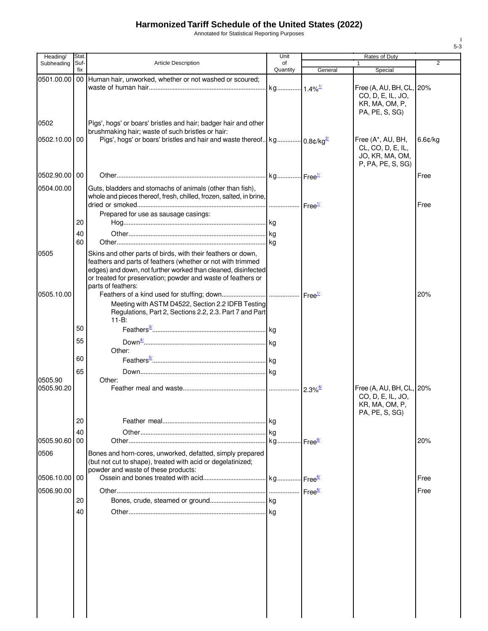Annotated for Statistical Reporting Purposes

| Heading/      | Stat.       |                                                                                                                                                                                                                                                                                    | Unit                  | Rates of Duty |                                                                                   |                |
|---------------|-------------|------------------------------------------------------------------------------------------------------------------------------------------------------------------------------------------------------------------------------------------------------------------------------------|-----------------------|---------------|-----------------------------------------------------------------------------------|----------------|
| Subheading    | Suf-<br>fix | Article Description                                                                                                                                                                                                                                                                | of<br>Quantity        | General       | $\mathbf{1}$<br>Special                                                           | $\overline{2}$ |
|               |             | 0501.00.00   00   Human hair, unworked, whether or not washed or scoured;                                                                                                                                                                                                          | kg 1.4% <sup>1/</sup> |               | Free (A, AU, BH, CL, 20%<br>CO, D, E, IL, JO,<br>KR, MA, OM, P,<br>PA, PE, S, SG) |                |
| 0502          |             | Pigs', hogs' or boars' bristles and hair; badger hair and other                                                                                                                                                                                                                    |                       |               |                                                                                   |                |
| 0502.10.00 00 |             | brushmaking hair; waste of such bristles or hair:<br>Pigs', hogs' or boars' bristles and hair and waste thereof   kg   0.8c/kg <sup>2/</sup>                                                                                                                                       |                       |               | Free (A*, AU, BH,<br>CL, CO, D, E, IL,<br>JO, KR, MA, OM,<br>P, PA, PE, S, SG)    | 6.6¢/kg        |
| 0502.90.00 00 |             |                                                                                                                                                                                                                                                                                    |                       |               |                                                                                   | Free           |
| 0504.00.00    |             | Guts, bladders and stomachs of animals (other than fish),<br>whole and pieces thereof, fresh, chilled, frozen, salted, in brine,                                                                                                                                                   |                       |               |                                                                                   | Free           |
|               | 20          | Prepared for use as sausage casings:                                                                                                                                                                                                                                               |                       |               |                                                                                   |                |
|               | 40          |                                                                                                                                                                                                                                                                                    |                       |               |                                                                                   |                |
|               | 60          |                                                                                                                                                                                                                                                                                    |                       |               |                                                                                   |                |
| 0505          |             | Skins and other parts of birds, with their feathers or down,<br>feathers and parts of feathers (whether or not with trimmed<br>edges) and down, not further worked than cleaned, disinfected<br>or treated for preservation; powder and waste of feathers or<br>parts of feathers: |                       |               |                                                                                   |                |
| 0505.10.00    |             | Meeting with ASTM D4522, Section 2.2 IDFB Testing<br>Regulations, Part 2, Sections 2.2, 2.3. Part 7 and Part<br>$11 - B$ :                                                                                                                                                         |                       |               |                                                                                   | 20%            |
|               | 50          |                                                                                                                                                                                                                                                                                    |                       |               |                                                                                   |                |
|               | 55          |                                                                                                                                                                                                                                                                                    |                       |               |                                                                                   |                |
|               | 60          | Other:                                                                                                                                                                                                                                                                             |                       |               |                                                                                   |                |
|               | 65          |                                                                                                                                                                                                                                                                                    |                       |               |                                                                                   |                |
| 0505.90       |             | Other:                                                                                                                                                                                                                                                                             |                       |               |                                                                                   |                |
| 0505.90.20    |             |                                                                                                                                                                                                                                                                                    |                       |               | Free (A, AU, BH, CL, 20%<br>CO, D, E, IL, JO,<br>KR, MA, OM, P,<br>PA, PE, S, SG) |                |
|               | 20          |                                                                                                                                                                                                                                                                                    |                       |               |                                                                                   |                |
|               | 40          |                                                                                                                                                                                                                                                                                    |                       |               |                                                                                   |                |
| 0505.90.60 00 |             |                                                                                                                                                                                                                                                                                    |                       |               |                                                                                   | 20%            |
| 0506          |             | Bones and horn-cores, unworked, defatted, simply prepared<br>(but not cut to shape), treated with acid or degelatinized;<br>powder and waste of these products:                                                                                                                    |                       |               |                                                                                   |                |
| 0506.10.00 00 |             |                                                                                                                                                                                                                                                                                    |                       |               |                                                                                   | Free           |
| 0506.90.00    |             |                                                                                                                                                                                                                                                                                    |                       |               |                                                                                   | Free           |
|               | 20          |                                                                                                                                                                                                                                                                                    |                       |               |                                                                                   |                |
|               | 40          |                                                                                                                                                                                                                                                                                    |                       |               |                                                                                   |                |
|               |             |                                                                                                                                                                                                                                                                                    |                       |               |                                                                                   |                |
|               |             |                                                                                                                                                                                                                                                                                    |                       |               |                                                                                   |                |
|               |             |                                                                                                                                                                                                                                                                                    |                       |               |                                                                                   |                |
|               |             |                                                                                                                                                                                                                                                                                    |                       |               |                                                                                   |                |
|               |             |                                                                                                                                                                                                                                                                                    |                       |               |                                                                                   |                |
|               |             |                                                                                                                                                                                                                                                                                    |                       |               |                                                                                   |                |
|               |             |                                                                                                                                                                                                                                                                                    |                       |               |                                                                                   |                |
|               |             |                                                                                                                                                                                                                                                                                    |                       |               |                                                                                   |                |

I 5-3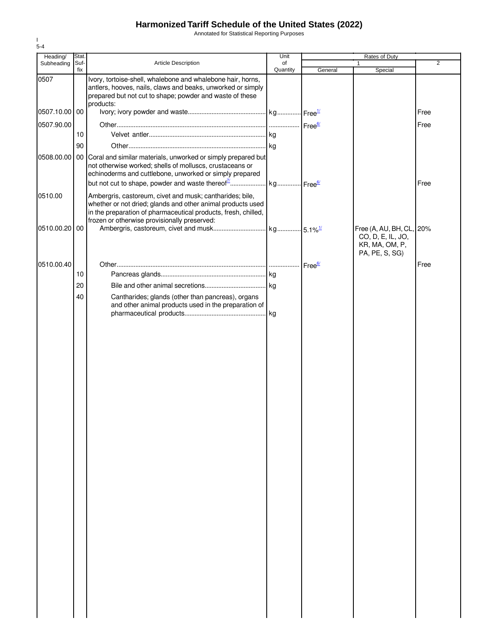Annotated for Statistical Reporting Purposes

| Heading/        | Stat.       |                                                                                                                                                                                                                                           | Unit           | Rates of Duty |                                                                                   |                |
|-----------------|-------------|-------------------------------------------------------------------------------------------------------------------------------------------------------------------------------------------------------------------------------------------|----------------|---------------|-----------------------------------------------------------------------------------|----------------|
| Subheading      | Suf-<br>fix | <b>Article Description</b>                                                                                                                                                                                                                | of<br>Quantity | General       | 1<br>Special                                                                      | $\overline{2}$ |
| 0507            |             | Ivory, tortoise-shell, whalebone and whalebone hair, horns,<br>antlers, hooves, nails, claws and beaks, unworked or simply<br>prepared but not cut to shape; powder and waste of these<br>products:                                       |                |               |                                                                                   |                |
| 0507.10.00   00 |             |                                                                                                                                                                                                                                           |                |               |                                                                                   | Free           |
| 0507.90.00      |             |                                                                                                                                                                                                                                           |                |               |                                                                                   | Free           |
|                 | 10          |                                                                                                                                                                                                                                           |                |               |                                                                                   |                |
|                 | 90          |                                                                                                                                                                                                                                           |                |               |                                                                                   |                |
|                 |             | 0508.00.00 00 Coral and similar materials, unworked or simply prepared but<br>not otherwise worked; shells of molluscs, crustaceans or<br>echinoderms and cuttlebone, unworked or simply prepared                                         |                |               |                                                                                   | Free           |
| 0510.00         |             | Ambergris, castoreum, civet and musk; cantharides; bile,<br>whether or not dried; glands and other animal products used<br>in the preparation of pharmaceutical products, fresh, chilled,<br>frozen or otherwise provisionally preserved: |                |               |                                                                                   |                |
| 0510.00.20 00   |             |                                                                                                                                                                                                                                           |                |               | Free (A, AU, BH, CL, 20%<br>CO, D, E, IL, JO,<br>KR, MA, OM, P,<br>PA, PE, S, SG) |                |
| 0510.00.40      |             |                                                                                                                                                                                                                                           |                |               |                                                                                   | Free           |
|                 | 10          |                                                                                                                                                                                                                                           |                |               |                                                                                   |                |
|                 | 20          |                                                                                                                                                                                                                                           |                |               |                                                                                   |                |
|                 | 40          | Cantharides; glands (other than pancreas), organs<br>and other animal products used in the preparation of                                                                                                                                 |                |               |                                                                                   |                |
|                 |             |                                                                                                                                                                                                                                           |                |               |                                                                                   |                |

I 5-4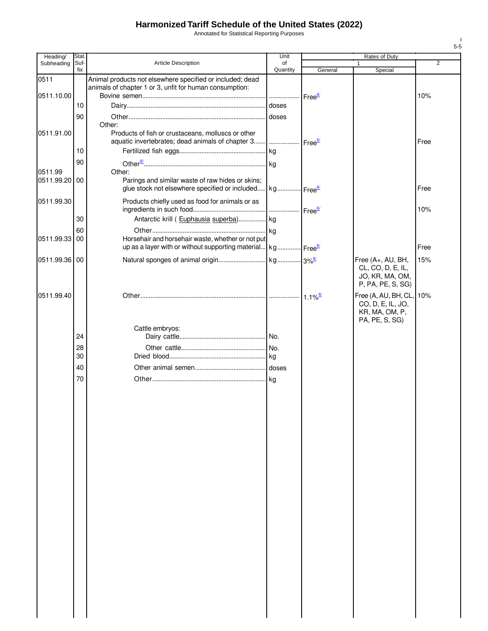Annotated for Statistical Reporting Purposes

| Heading/                 | Stat.       |                                                                                                                                    | Unit               |                    | Rates of Duty                                                                  |      |
|--------------------------|-------------|------------------------------------------------------------------------------------------------------------------------------------|--------------------|--------------------|--------------------------------------------------------------------------------|------|
| Subheading               | Suf-<br>fix | <b>Article Description</b>                                                                                                         | of<br>Quantity     | General            | Special                                                                        | 2    |
| 0511                     |             | Animal products not elsewhere specified or included; dead<br>animals of chapter 1 or 3, unfit for human consumption:               |                    |                    |                                                                                |      |
| 0511.10.00               | 10          |                                                                                                                                    | .                  | Free <sup>6/</sup> |                                                                                | 10%  |
|                          |             |                                                                                                                                    | doses              |                    |                                                                                |      |
|                          | 90          | Other:                                                                                                                             | doses              |                    |                                                                                |      |
| 0511.91.00               |             | Products of fish or crustaceans, molluscs or other<br>aquatic invertebrates; dead animals of chapter 3                             | Free <sup>6/</sup> |                    |                                                                                | Free |
|                          | 10          |                                                                                                                                    |                    |                    |                                                                                |      |
|                          | 90          |                                                                                                                                    |                    |                    |                                                                                |      |
| 0511.99<br>0511.99.20 00 |             | Other:<br>Parings and similar waste of raw hides or skins;<br>glue stock not elsewhere specified or included kg Free <sup>6/</sup> |                    |                    |                                                                                | Free |
| 0511.99.30               |             | Products chiefly used as food for animals or as                                                                                    |                    |                    |                                                                                | 10%  |
|                          | 30          | Antarctic krill (Euphausia superba) kg                                                                                             |                    |                    |                                                                                |      |
|                          | 60          |                                                                                                                                    |                    |                    |                                                                                |      |
| 0511.99.33 00            |             | Horsehair and horsehair waste, whether or not put                                                                                  |                    |                    |                                                                                |      |
|                          |             | up as a layer with or without supporting material kg Free <sup>6/</sup>                                                            |                    |                    |                                                                                | Free |
| 0511.99.36 00            |             |                                                                                                                                    |                    |                    | Free (A+, AU, BH,<br>CL, CO, D, E, IL,<br>JO, KR, MA, OM,<br>P, PA, PE, S, SG) | 15%  |
| 0511.99.40               |             |                                                                                                                                    |                    | $1.1\%$            | Free (A, AU, BH, CL,<br>CO, D, E, IL, JO,<br>KR, MA, OM, P,<br>PA, PE, S, SG)  | 10%  |
|                          |             | Cattle embryos:                                                                                                                    |                    |                    |                                                                                |      |
|                          | 24          |                                                                                                                                    |                    |                    |                                                                                |      |
|                          | 28<br>30    |                                                                                                                                    |                    |                    |                                                                                |      |
|                          | 40          |                                                                                                                                    |                    |                    |                                                                                |      |
|                          | 70          |                                                                                                                                    |                    |                    |                                                                                |      |
|                          |             |                                                                                                                                    |                    |                    |                                                                                |      |
|                          |             |                                                                                                                                    |                    |                    |                                                                                |      |

I 5-5